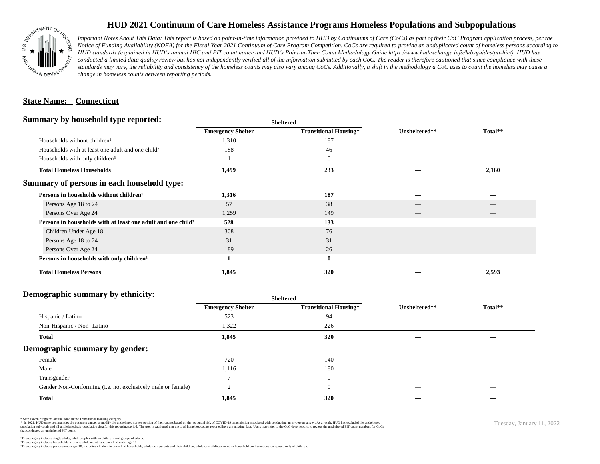

## **HUD 2021 Continuum of Care Homeless Assistance Programs Homeless Populations and Subpopulations**

*Important Notes About This Data: This report is based on point-in-time information provided to HUD by Continuums of Care (CoCs) as part of their CoC Program application process, per the Notice of Funding Availability (NOFA) for the Fiscal Year 2021 Continuum of Care Program Competition. CoCs are required to provide an unduplicated count of homeless persons according to HUD standards (explained in HUD's annual HIC and PIT count notice and HUD's Point-in-Time Count Methodology Guide https://www.hudexchange.info/hdx/guides/pit-hic/). HUD has*  conducted a limited data quality review but has not independently verified all of the information submitted by each CoC. The reader is therefore cautioned that since compliance with these standards may vary, the reliability and consistency of the homeless counts may also vary among CoCs. Additionally, a shift in the methodology a CoC uses to count the homeless may cause a *change in homeless counts between reporting periods.*

#### **State Name: Connecticut**

#### **Summary by household type reported:**

| <b>Emergency Shelter</b> | <b>Transitional Housing*</b> | Unsheltered** | Total** |  |
|--------------------------|------------------------------|---------------|---------|--|
| 1,310                    | 187                          | _             |         |  |
| 188                      | 46                           |               |         |  |
|                          | $\boldsymbol{0}$             |               | _       |  |
| 1,499                    | 233                          |               | 2,160   |  |
|                          |                              |               |         |  |
| 1,316                    | 187                          |               |         |  |
| 57                       | 38                           |               |         |  |
| 1,259                    | 149                          |               |         |  |
| 528                      | 133                          |               |         |  |
| 308                      | 76                           |               |         |  |
| 31                       | 31                           |               |         |  |
| 189                      | 26                           |               | __      |  |
|                          | $\bf{0}$                     |               |         |  |
| 1,845                    | 320                          |               | 2,593   |  |
|                          |                              | patter        |         |  |

**Sheltered**

## **Demographic summary by ethnicity:**

|                                                             | <b>Sheltered</b>         |                              |                          |                          |  |
|-------------------------------------------------------------|--------------------------|------------------------------|--------------------------|--------------------------|--|
|                                                             | <b>Emergency Shelter</b> | <b>Transitional Housing*</b> | Unsheltered**            | Total**                  |  |
| Hispanic / Latino                                           | 523                      | 94                           |                          | $\overline{\phantom{a}}$ |  |
| Non-Hispanic / Non-Latino                                   | 1,322                    | 226                          | _                        | $\overline{\phantom{a}}$ |  |
| <b>Total</b>                                                | 1,845                    | 320                          |                          |                          |  |
| Demographic summary by gender:                              |                          |                              |                          |                          |  |
| Female                                                      | 720                      | 140                          | _                        | _                        |  |
| Male                                                        | 1,116                    | 180                          |                          |                          |  |
| Transgender                                                 |                          | $\mathbf{0}$                 |                          |                          |  |
| Gender Non-Conforming (i.e. not exclusively male or female) |                          | $\theta$                     | $\overline{\phantom{a}}$ | $\overline{\phantom{a}}$ |  |
| <b>Total</b>                                                | 1,845                    | 320                          |                          |                          |  |

\* Safe Haven programs are included in the Transitional Housing category.

\*\*In 2021, HUD gave communities the option to cancel or modify the unsheltered survey portion of their counts based on the potential risk of COVID-19 transmission associated with conducting an in-person survey. As a result n political data for this reporting period. The user is cautioned that the total homeless counts reported here are missing data. Users may refer to the CoC-level reports to review the unshellered PIT count numbers for CoCs that conducted an unsheltered PIT count.

Tuesday, January 11, 2022